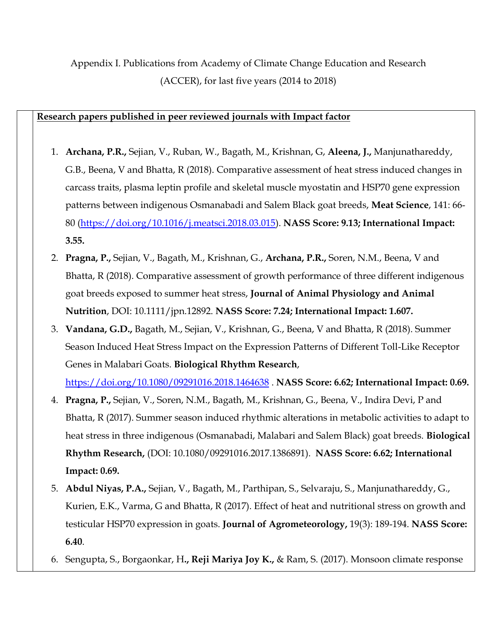Appendix I. Publications from Academy of Climate Change Education and Research (ACCER), for last five years (2014 to 2018)

# **Research papers published in peer reviewed journals with Impact factor**

- 1. **Archana, P.R.,** Sejian, V., Ruban, W., Bagath, M., Krishnan, G, **Aleena, J.,** Manjunathareddy, G.B., Beena, V and Bhatta, R (2018). Comparative assessment of heat stress induced changes in carcass traits, plasma leptin profile and skeletal muscle myostatin and HSP70 gene expression patterns between indigenous Osmanabadi and Salem Black goat breeds, **Meat Science**, 141: 66- 80 [\(https://doi.org/10.1016/j.meatsci.2018.03.015\)](https://doi.org/10.1016/j.meatsci.2018.03.015). **NASS Score: 9.13; International Impact: 3.55.**
- 2. **Pragna, P.,** Sejian, V., Bagath, M., Krishnan, G., **Archana, P.R.,** Soren, N.M., Beena, V and Bhatta, R (2018). Comparative assessment of growth performance of three different indigenous goat breeds exposed to summer heat stress, **Journal of Animal Physiology and Animal Nutrition**, DOI: 10.1111/jpn.12892. **NASS Score: 7.24; International Impact: 1.607.**
- 3. **Vandana, G.D.,** Bagath, M., Sejian, V., Krishnan, G., Beena, V and Bhatta, R (2018). Summer Season Induced Heat Stress Impact on the Expression Patterns of Different Toll-Like Receptor Genes in Malabari Goats. **Biological Rhythm Research**,

<https://doi.org/10.1080/09291016.2018.1464638> . **NASS Score: 6.62; International Impact: 0.69.**

- 4. **Pragna, P.,** Sejian, V., Soren, N.M., Bagath, M., Krishnan, G., Beena, V., Indira Devi, P and Bhatta, R (2017). Summer season induced rhythmic alterations in metabolic activities to adapt to heat stress in three indigenous (Osmanabadi, Malabari and Salem Black) goat breeds. **Biological Rhythm Research,** (DOI: 10.1080/09291016.2017.1386891). **NASS Score: 6.62; International Impact: 0.69.**
- 5. **Abdul Niyas, P.A.,** Sejian, V., Bagath, M., Parthipan, S., Selvaraju, S., Manjunathareddy, G., Kurien, E.K., Varma, G and Bhatta, R (2017). Effect of heat and nutritional stress on growth and testicular HSP70 expression in goats. **Journal of Agrometeorology,** 19(3): 189-194. **NASS Score: 6.40**.
- 6. Sengupta, S., Borgaonkar, H**., Reji Mariya Joy K.,** & Ram, S. (2017). Monsoon climate response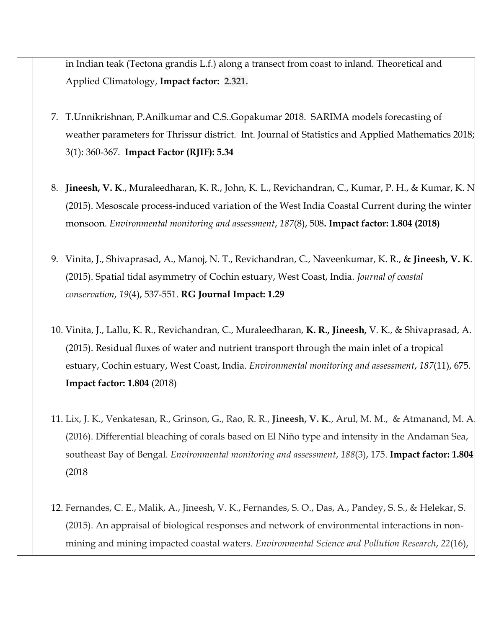in Indian teak (Tectona grandis L.f.) along a transect from coast to inland. Theoretical and Applied Climatology, **[Impact factor:](https://www.google.com/search?rlz=1C1CHZL_enIN764US765&q=environmental+monitoring+and+assessment+impact+factor&stick=H4sIAAAAAAAAAOPgE-LSz9U3ME7JKinO0dLIKLfST87PyUlNLsnMz9MvSC3KzE_JTE7MKbbKzC1ITC5RSAMS-UUA3bN78DgAAAA&sa=X&ved=2ahUKEwjPvPbb38zfAhVMfH0KHZIBBX8Q6BMoADAOegQIEBAS) 2.321.**

- 7. T.Unnikrishnan, P.Anilkumar and C.S..Gopakumar 2018. SARIMA models forecasting of weather parameters for Thrissur district. Int. Journal of Statistics and Applied Mathematics 2018; 3(1): 360-367. **Impact Factor (RJIF): 5.34**
- 8. **Jineesh, V. K**., Muraleedharan, K. R., John, K. L., Revichandran, C., Kumar, P. H., & Kumar, K. N. (2015). Mesoscale process-induced variation of the West India Coastal Current during the winter monsoon. *Environmental monitoring and assessment*, *187*(8), 508**. [Impact factor:](https://www.google.com/search?rlz=1C1CHZL_enIN764US765&q=environmental+monitoring+and+assessment+impact+factor&stick=H4sIAAAAAAAAAOPgE-LSz9U3ME7JKinO0dLIKLfST87PyUlNLsnMz9MvSC3KzE_JTE7MKbbKzC1ITC5RSAMS-UUA3bN78DgAAAA&sa=X&ved=2ahUKEwij2vyv28zfAhWFXSsKHVkRBHYQ6BMoADAOegQIChAS) 1.804 (2018)**
- 9. Vinita, J., Shivaprasad, A., Manoj, N. T., Revichandran, C., Naveenkumar, K. R., & **Jineesh, V. K**. (2015). Spatial tidal asymmetry of Cochin estuary, West Coast, India. *Journal of coastal conservation*, *19*(4), 537-551. **RG Journal Impact: 1.29**
- 10. Vinita, J., Lallu, K. R., Revichandran, C., Muraleedharan, **K. R., Jineesh,** V. K., & Shivaprasad, A. (2015). Residual fluxes of water and nutrient transport through the main inlet of a tropical estuary, Cochin estuary, West Coast, India. *Environmental monitoring and assessment*, *187*(11), 675. **[Impact factor:](https://www.google.com/search?rlz=1C1CHZL_enIN764US765&q=environmental+monitoring+and+assessment+impact+factor&stick=H4sIAAAAAAAAAOPgE-LSz9U3ME7JKinO0dLIKLfST87PyUlNLsnMz9MvSC3KzE_JTE7MKbbKzC1ITC5RSAMS-UUA3bN78DgAAAA&sa=X&ved=2ahUKEwjPvPbb38zfAhVMfH0KHZIBBX8Q6BMoADAOegQIEBAS) 1.804** (2018)
- 11. Lix, J. K., Venkatesan, R., Grinson, G., Rao, R. R., **Jineesh, V. K**., Arul, M. M., & Atmanand, M. A. (2016). Differential bleaching of corals based on El Niño type and intensity in the Andaman Sea, southeast Bay of Bengal. *Environmental monitoring and assessment*, *188*(3), 175. **[Impact factor:](https://www.google.com/search?rlz=1C1CHZL_enIN764US765&q=environmental+monitoring+and+assessment+impact+factor&stick=H4sIAAAAAAAAAOPgE-LSz9U3ME7JKinO0dLIKLfST87PyUlNLsnMz9MvSC3KzE_JTE7MKbbKzC1ITC5RSAMS-UUA3bN78DgAAAA&sa=X&ved=2ahUKEwjPvPbb38zfAhVMfH0KHZIBBX8Q6BMoADAOegQIEBAS) 1.804** (2018
- 12. Fernandes, C. E., Malik, A., Jineesh, V. K., Fernandes, S. O., Das, A., Pandey, S. S., & Helekar, S. (2015). An appraisal of biological responses and network of environmental interactions in nonmining and mining impacted coastal waters. *Environmental Science and Pollution Research*, *22*(16),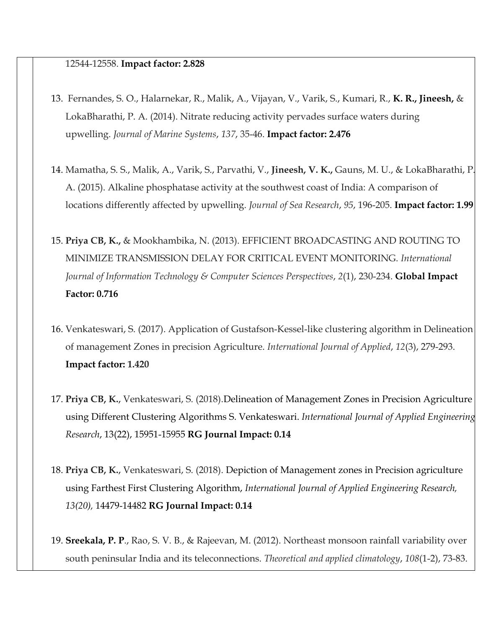#### 12544-12558. **[Impact factor:](https://www.google.com/search?rlz=1C1CHZL_enIN764US765&q=environmental+monitoring+and+assessment+impact+factor&stick=H4sIAAAAAAAAAOPgE-LSz9U3ME7JKinO0dLIKLfST87PyUlNLsnMz9MvSC3KzE_JTE7MKbbKzC1ITC5RSAMS-UUA3bN78DgAAAA&sa=X&ved=2ahUKEwjPvPbb38zfAhVMfH0KHZIBBX8Q6BMoADAOegQIEBAS) 2.828**

- 13. Fernandes, S. O., Halarnekar, R., Malik, A., Vijayan, V., Varik, S., Kumari, R., **K. R., Jineesh,** & LokaBharathi, P. A. (2014). Nitrate reducing activity pervades surface waters during upwelling. *Journal of Marine Systems*, *137*, 35-46. **[Impact factor:](https://www.google.com/search?rlz=1C1CHZL_enIN764US765&q=environmental+monitoring+and+assessment+impact+factor&stick=H4sIAAAAAAAAAOPgE-LSz9U3ME7JKinO0dLIKLfST87PyUlNLsnMz9MvSC3KzE_JTE7MKbbKzC1ITC5RSAMS-UUA3bN78DgAAAA&sa=X&ved=2ahUKEwjPvPbb38zfAhVMfH0KHZIBBX8Q6BMoADAOegQIEBAS) 2.476**
- 14. Mamatha, S. S., Malik, A., Varik, S., Parvathi, V., **Jineesh, V. K.,** Gauns, M. U., & LokaBharathi, P. A. (2015). Alkaline phosphatase activity at the southwest coast of India: A comparison of locations differently affected by upwelling. *Journal of Sea Research*, *95*, 196-205. **[Impact factor:](https://www.google.com/search?rlz=1C1CHZL_enIN764US765&q=environmental+monitoring+and+assessment+impact+factor&stick=H4sIAAAAAAAAAOPgE-LSz9U3ME7JKinO0dLIKLfST87PyUlNLsnMz9MvSC3KzE_JTE7MKbbKzC1ITC5RSAMS-UUA3bN78DgAAAA&sa=X&ved=2ahUKEwjPvPbb38zfAhVMfH0KHZIBBX8Q6BMoADAOegQIEBAS) 1.99**
- 15. **Priya CB, K.,** & Mookhambika, N. (2013). EFFICIENT BROADCASTING AND ROUTING TO MINIMIZE TRANSMISSION DELAY FOR CRITICAL EVENT MONITORING. *International Journal of Information Technology & Computer Sciences Perspectives*, *2*(1), 230-234. **Global Impact Factor: 0.716**
- 16. Venkateswari, S. (2017). Application of Gustafson-Kessel-like clustering algorithm in Delineation of management Zones in precision Agriculture. *International Journal of Applied*, *12*(3), 279-293. **[Impact factor:](https://www.google.com/search?rlz=1C1CHZL_enIN764US765&q=environmental+monitoring+and+assessment+impact+factor&stick=H4sIAAAAAAAAAOPgE-LSz9U3ME7JKinO0dLIKLfST87PyUlNLsnMz9MvSC3KzE_JTE7MKbbKzC1ITC5RSAMS-UUA3bN78DgAAAA&sa=X&ved=2ahUKEwjPvPbb38zfAhVMfH0KHZIBBX8Q6BMoADAOegQIEBAS) 1.420**
- 17. **Priya CB, K.**, Venkateswari, S. (2018).Delineation of Management Zones in Precision Agriculture using Different Clustering Algorithms S. Venkateswari. *International Journal of Applied Engineering Research*, 13(22), 15951-15955 **RG Journal Impact: 0.14**
- 18. **Priya CB, K.**, Venkateswari, S. (2018). Depiction of Management zones in Precision agriculture using Farthest First Clustering Algorithm, *International Journal of Applied Engineering Research, 13(20),* 14479-14482 **RG Journal Impact: 0.14**
- 19. **Sreekala, P. P**., Rao, S. V. B., & Rajeevan, M. (2012). Northeast monsoon rainfall variability over south peninsular India and its teleconnections. *Theoretical and applied climatology*, *108*(1-2), 73-83.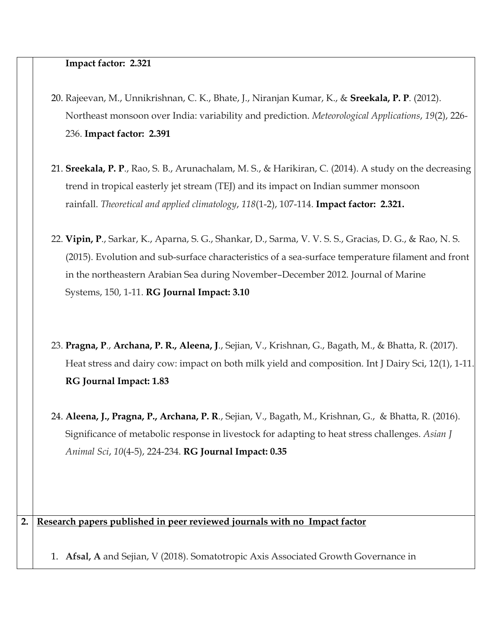#### **[Impact factor:](https://www.google.com/search?rlz=1C1CHZL_enIN764US765&q=environmental+monitoring+and+assessment+impact+factor&stick=H4sIAAAAAAAAAOPgE-LSz9U3ME7JKinO0dLIKLfST87PyUlNLsnMz9MvSC3KzE_JTE7MKbbKzC1ITC5RSAMS-UUA3bN78DgAAAA&sa=X&ved=2ahUKEwjPvPbb38zfAhVMfH0KHZIBBX8Q6BMoADAOegQIEBAS) 2.321**

- 20. Rajeevan, M., Unnikrishnan, C. K., Bhate, J., Niranjan Kumar, K., & **Sreekala, P. P**. (2012). Northeast monsoon over India: variability and prediction. *Meteorological Applications*, *19*(2), 226- 236. **[Impact factor:](https://www.google.com/search?rlz=1C1CHZL_enIN764US765&q=environmental+monitoring+and+assessment+impact+factor&stick=H4sIAAAAAAAAAOPgE-LSz9U3ME7JKinO0dLIKLfST87PyUlNLsnMz9MvSC3KzE_JTE7MKbbKzC1ITC5RSAMS-UUA3bN78DgAAAA&sa=X&ved=2ahUKEwjPvPbb38zfAhVMfH0KHZIBBX8Q6BMoADAOegQIEBAS) 2.391**
- 21. **Sreekala, P. P**., Rao, S. B., Arunachalam, M. S., & Harikiran, C. (2014). A study on the decreasing trend in tropical easterly jet stream (TEJ) and its impact on Indian summer monsoon rainfall. *Theoretical and applied climatology*, *118*(1-2), 107-114. **[Impact factor:](https://www.google.com/search?rlz=1C1CHZL_enIN764US765&q=environmental+monitoring+and+assessment+impact+factor&stick=H4sIAAAAAAAAAOPgE-LSz9U3ME7JKinO0dLIKLfST87PyUlNLsnMz9MvSC3KzE_JTE7MKbbKzC1ITC5RSAMS-UUA3bN78DgAAAA&sa=X&ved=2ahUKEwjPvPbb38zfAhVMfH0KHZIBBX8Q6BMoADAOegQIEBAS) 2.321.**
- 22. **Vipin, P**., Sarkar, K., Aparna, S. G., Shankar, D., Sarma, V. V. S. S., Gracias, D. G., & Rao, N. S. (2015). Evolution and sub-surface characteristics of a sea-surface temperature filament and front in the northeastern Arabian Sea during November–December 2012. Journal of Marine Systems, 150, 1-11. **RG Journal Impact: 3.10**
- 23. **Pragna, P**., **Archana, P. R., Aleena, J**., Sejian, V., Krishnan, G., Bagath, M., & Bhatta, R. (2017). Heat stress and dairy cow: impact on both milk yield and composition. Int J Dairy Sci, 12(1), 1-11. **RG Journal Impact: 1.83**
- 24. **Aleena, J., Pragna, P., Archana, P. R**., Sejian, V., Bagath, M., Krishnan, G., & Bhatta, R. (2016). Significance of metabolic response in livestock for adapting to heat stress challenges. *Asian J Animal Sci*, *10*(4-5), 224-234. **RG Journal Impact: 0.35**

### **2. Research papers published in peer reviewed journals with no Impact factor**

1. **Afsal, A** and Sejian, V (2018). Somatotropic Axis Associated Growth Governance in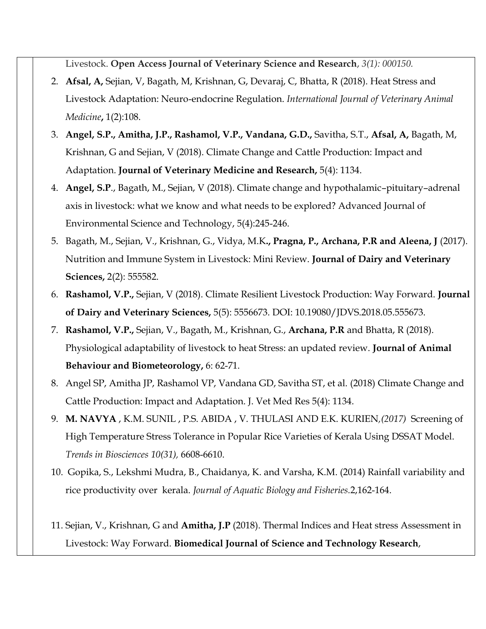Livestock. **Open Access Journal of Veterinary Science and Research**, *3(1): 000150.*

- 2. **Afsal, A,** Sejian, V, Bagath, M, Krishnan, G, Devaraj, C, Bhatta, R (2018). Heat Stress and Livestock Adaptation: Neuro-endocrine Regulation. *International Journal of Veterinary Animal Medicine***,** 1(2):108.
- 3. **Angel, S.P., Amitha, J.P., Rashamol, V.P., Vandana, G.D.,** Savitha, S.T., **Afsal, A,** Bagath, M, Krishnan, G and Sejian, V (2018). Climate Change and Cattle Production: Impact and Adaptation. **Journal of Veterinary Medicine and Research,** 5(4): 1134.
- 4. **Angel, S.P**., Bagath, M., Sejian, V (2018). Climate change and hypothalamic–pituitary–adrenal axis in livestock: what we know and what needs to be explored? Advanced Journal of Environmental Science and Technology, 5(4):245-246.
- 5. Bagath, M., Sejian, V., Krishnan, G., Vidya, M.K**., Pragna, P., Archana, P.R and Aleena, J** (2017). Nutrition and Immune System in Livestock: Mini Review. **Journal of Dairy and Veterinary Sciences,** 2(2): 555582.
- 6. **Rashamol, V.P.,** Sejian, V (2018). Climate Resilient Livestock Production: Way Forward. **Journal of Dairy and Veterinary Sciences,** 5(5): 5556673. DOI: 10.19080/JDVS.2018.05.555673.
- 7. **Rashamol, V.P.,** Sejian, V., Bagath, M., Krishnan, G., **Archana, P.R** and Bhatta, R (2018). Physiological adaptability of livestock to heat Stress: an updated review. **Journal of Animal Behaviour and Biometeorology,** 6: 62-71.
- 8. Angel SP, Amitha JP, Rashamol VP, Vandana GD, Savitha ST, et al. (2018) Climate Change and Cattle Production: Impact and Adaptation. J. Vet Med Res 5(4): 1134.
- 9. **M. NAVYA** , K.M. SUNIL , P.S. ABIDA , V. THULASI AND E.K. KURIEN*,(2017)* Screening of High Temperature Stress Tolerance in Popular Rice Varieties of Kerala Using DSSAT Model. *Trends in Biosciences 10(31),* 6608-6610.
- 10. Gopika, S., Lekshmi Mudra, B., Chaidanya, K. and Varsha, K.M. (2014) Rainfall variability and rice productivity over kerala. *Journal of Aquatic Biology and Fisheries.*2,162-164.
- 11. Sejian, V., Krishnan, G and **Amitha, J.P** (2018). Thermal Indices and Heat stress Assessment in Livestock: Way Forward. **Biomedical Journal of Science and Technology Research**,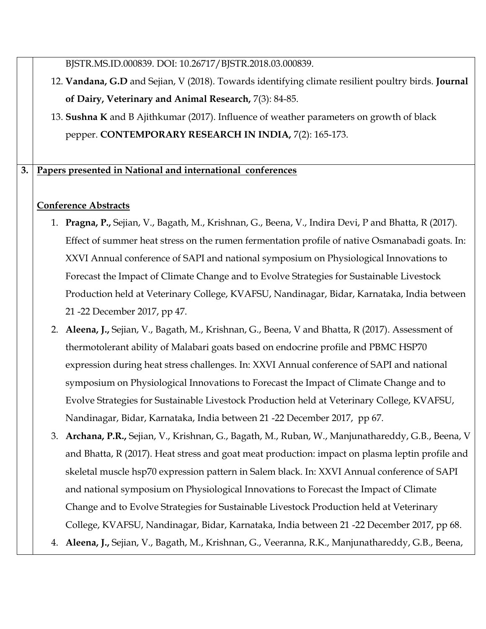BJSTR.MS.ID.000839. DOI: 10.26717/BJSTR.2018.03.000839.

- 12. **Vandana, G.D** and Sejian, V (2018). Towards identifying climate resilient poultry birds. **Journal of Dairy, Veterinary and Animal Research,** 7(3): 84-85.
- 13. **Sushna K** and B Ajithkumar (2017). Influence of weather parameters on growth of black pepper. **CONTEMPORARY RESEARCH IN INDIA,** 7(2): 165-173.

# **3. Papers presented in National and international conferences**

# **Conference Abstracts**

- 1. **Pragna, P.,** Sejian, V., Bagath, M., Krishnan, G., Beena, V., Indira Devi, P and Bhatta, R (2017). Effect of summer heat stress on the rumen fermentation profile of native Osmanabadi goats. In: XXVI Annual conference of SAPI and national symposium on Physiological Innovations to Forecast the Impact of Climate Change and to Evolve Strategies for Sustainable Livestock Production held at Veterinary College, KVAFSU, Nandinagar, Bidar, Karnataka, India between 21 -22 December 2017, pp 47.
- 2. **Aleena, J.,** Sejian, V., Bagath, M., Krishnan, G., Beena, V and Bhatta, R (2017). Assessment of thermotolerant ability of Malabari goats based on endocrine profile and PBMC HSP70 expression during heat stress challenges. In: XXVI Annual conference of SAPI and national symposium on Physiological Innovations to Forecast the Impact of Climate Change and to Evolve Strategies for Sustainable Livestock Production held at Veterinary College, KVAFSU, Nandinagar, Bidar, Karnataka, India between 21 -22 December 2017, pp 67.
- 3. **Archana, P.R.,** Sejian, V., Krishnan, G., Bagath, M., Ruban, W., Manjunathareddy, G.B., Beena, V and Bhatta, R (2017). Heat stress and goat meat production: impact on plasma leptin profile and skeletal muscle hsp70 expression pattern in Salem black. In: XXVI Annual conference of SAPI and national symposium on Physiological Innovations to Forecast the Impact of Climate Change and to Evolve Strategies for Sustainable Livestock Production held at Veterinary College, KVAFSU, Nandinagar, Bidar, Karnataka, India between 21 -22 December 2017, pp 68.
- 4. **Aleena, J.,** Sejian, V., Bagath, M., Krishnan, G., Veeranna, R.K., Manjunathareddy, G.B., Beena,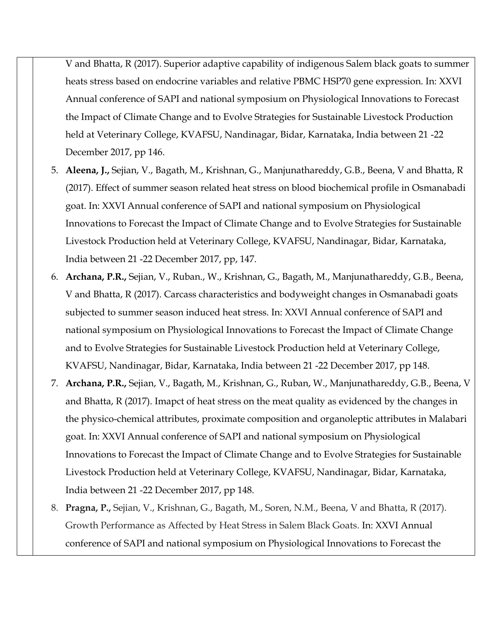V and Bhatta, R (2017). Superior adaptive capability of indigenous Salem black goats to summer heats stress based on endocrine variables and relative PBMC HSP70 gene expression. In: XXVI Annual conference of SAPI and national symposium on Physiological Innovations to Forecast the Impact of Climate Change and to Evolve Strategies for Sustainable Livestock Production held at Veterinary College, KVAFSU, Nandinagar, Bidar, Karnataka, India between 21 -22 December 2017, pp 146.

- 5. **Aleena, J.,** Sejian, V., Bagath, M., Krishnan, G., Manjunathareddy, G.B., Beena, V and Bhatta, R (2017). Effect of summer season related heat stress on blood biochemical profile in Osmanabadi goat. In: XXVI Annual conference of SAPI and national symposium on Physiological Innovations to Forecast the Impact of Climate Change and to Evolve Strategies for Sustainable Livestock Production held at Veterinary College, KVAFSU, Nandinagar, Bidar, Karnataka, India between 21 -22 December 2017, pp, 147.
- 6. **Archana, P.R.,** Sejian, V., Ruban., W., Krishnan, G., Bagath, M., Manjunathareddy, G.B., Beena, V and Bhatta, R (2017). Carcass characteristics and bodyweight changes in Osmanabadi goats subjected to summer season induced heat stress. In: XXVI Annual conference of SAPI and national symposium on Physiological Innovations to Forecast the Impact of Climate Change and to Evolve Strategies for Sustainable Livestock Production held at Veterinary College, KVAFSU, Nandinagar, Bidar, Karnataka, India between 21 -22 December 2017, pp 148.
- 7. **Archana, P.R.,** Sejian, V., Bagath, M., Krishnan, G., Ruban, W., Manjunathareddy, G.B., Beena, V and Bhatta, R (2017). Imapct of heat stress on the meat quality as evidenced by the changes in the physico-chemical attributes, proximate composition and organoleptic attributes in Malabari goat. In: XXVI Annual conference of SAPI and national symposium on Physiological Innovations to Forecast the Impact of Climate Change and to Evolve Strategies for Sustainable Livestock Production held at Veterinary College, KVAFSU, Nandinagar, Bidar, Karnataka, India between 21 -22 December 2017, pp 148.
- 8. **Pragna, P.,** Sejian, V., Krishnan, G., Bagath, M., Soren, N.M., Beena, V and Bhatta, R (2017). Growth Performance as Affected by Heat Stress in Salem Black Goats. In: XXVI Annual conference of SAPI and national symposium on Physiological Innovations to Forecast the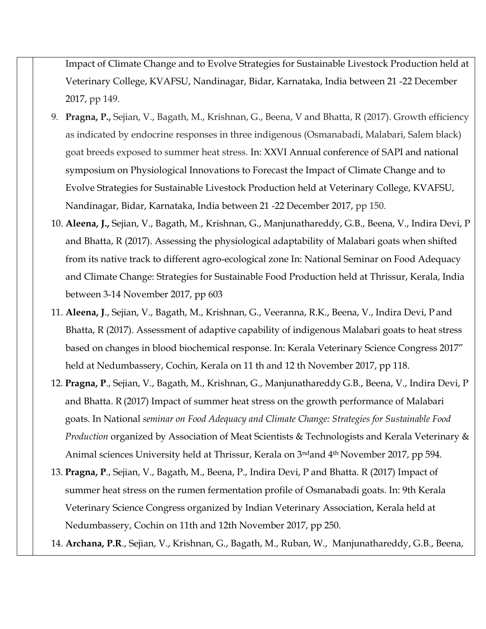Impact of Climate Change and to Evolve Strategies for Sustainable Livestock Production held at Veterinary College, KVAFSU, Nandinagar, Bidar, Karnataka, India between 21 -22 December 2017, pp 149.

- 9. **Pragna, P.,** Sejian, V., Bagath, M., Krishnan, G., Beena, V and Bhatta, R (2017). Growth efficiency as indicated by endocrine responses in three indigenous (Osmanabadi, Malabari, Salem black) goat breeds exposed to summer heat stress. In: XXVI Annual conference of SAPI and national symposium on Physiological Innovations to Forecast the Impact of Climate Change and to Evolve Strategies for Sustainable Livestock Production held at Veterinary College, KVAFSU, Nandinagar, Bidar, Karnataka, India between 21 -22 December 2017, pp 150.
- 10. **Aleena, J.,** Sejian, V., Bagath, M., Krishnan, G., Manjunathareddy, G.B., Beena, V., Indira Devi, P and Bhatta, R (2017). Assessing the physiological adaptability of Malabari goats when shifted from its native track to different agro-ecological zone In: National Seminar on Food Adequacy and Climate Change: Strategies for Sustainable Food Production held at Thrissur, Kerala, India between 3-14 November 2017, pp 603
- 11. **Aleena, J**., Sejian, V., Bagath, M., Krishnan, G., Veeranna, R.K., Beena, V., Indira Devi, P and Bhatta, R (2017). Assessment of adaptive capability of indigenous Malabari goats to heat stress based on changes in blood biochemical response. In: Kerala Veterinary Science Congress 2017" held at Nedumbassery, Cochin, Kerala on 11 th and 12 th November 2017, pp 118.
- 12. **Pragna, P**., Sejian, V., Bagath, M., Krishnan, G., Manjunathareddy G.B., Beena, V., Indira Devi, P and Bhatta. R (2017) Impact of summer heat stress on the growth performance of Malabari goats. In National *seminar on Food Adequacy and Climate Change: Strategies for Sustainable Food Production* organized by Association of Meat Scientists & Technologists and Kerala Veterinary & Animal sciences University held at Thrissur, Kerala on 3ndand 4th November 2017, pp 594.
- 13. **Pragna, P**., Sejian, V., Bagath, M., Beena, P., Indira Devi, P and Bhatta. R (2017) Impact of summer heat stress on the rumen fermentation profile of Osmanabadi goats. In: 9th Kerala Veterinary Science Congress organized by Indian Veterinary Association, Kerala held at Nedumbassery, Cochin on 11th and 12th November 2017, pp 250.
- 14. **Archana, P.R**., Sejian, V., Krishnan, G., Bagath, M., Ruban, W., Manjunathareddy, G.B., Beena,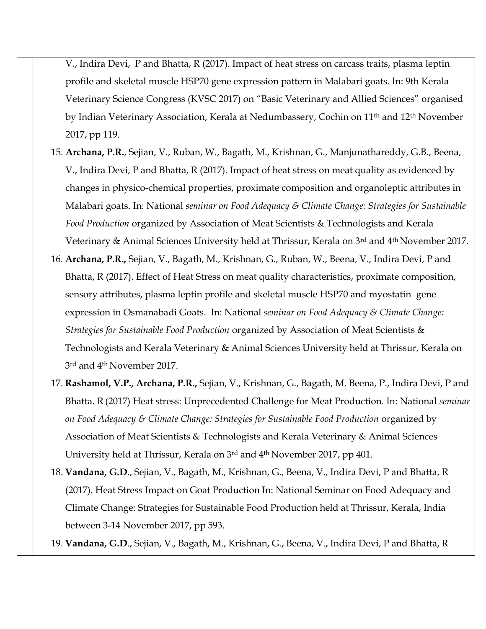V., Indira Devi, P and Bhatta, R (2017). Impact of heat stress on carcass traits, plasma leptin profile and skeletal muscle HSP70 gene expression pattern in Malabari goats. In: 9th Kerala Veterinary Science Congress (KVSC 2017) on "Basic Veterinary and Allied Sciences" organised by Indian Veterinary Association, Kerala at Nedumbassery, Cochin on 11th and 12th November 2017, pp 119.

- 15. **Archana, P.R.**, Sejian, V., Ruban, W., Bagath, M., Krishnan, G., Manjunathareddy, G.B., Beena, V., Indira Devi, P and Bhatta, R (2017). Impact of heat stress on meat quality as evidenced by changes in physico-chemical properties, proximate composition and organoleptic attributes in Malabari goats. In: National *seminar on Food Adequacy & Climate Change: Strategies for Sustainable Food Production* organized by Association of Meat Scientists & Technologists and Kerala Veterinary & Animal Sciences University held at Thrissur, Kerala on 3rd and 4th November 2017.
- 16. **Archana, P.R.,** Sejian, V., Bagath, M., Krishnan, G., Ruban, W., Beena, V., Indira Devi, P and Bhatta, R (2017). Effect of Heat Stress on meat quality characteristics, proximate composition, sensory attributes, plasma leptin profile and skeletal muscle HSP70 and myostatin gene expression in Osmanabadi Goats. In: National *seminar on Food Adequacy & Climate Change: Strategies for Sustainable Food Production* organized by Association of Meat Scientists & Technologists and Kerala Veterinary & Animal Sciences University held at Thrissur, Kerala on 3rd and 4th November 2017.
- 17. **Rashamol, V.P., Archana, P.R.,** Sejian, V., Krishnan, G., Bagath, M. Beena, P., Indira Devi, P and Bhatta. R (2017) Heat stress: Unprecedented Challenge for Meat Production. In: National *seminar on Food Adequacy & Climate Change: Strategies for Sustainable Food Production* organized by Association of Meat Scientists & Technologists and Kerala Veterinary & Animal Sciences University held at Thrissur, Kerala on 3rd and 4th November 2017, pp 401.
- 18. **Vandana, G.D**., Sejian, V., Bagath, M., Krishnan, G., Beena, V., Indira Devi, P and Bhatta, R (2017). Heat Stress Impact on Goat Production In: National Seminar on Food Adequacy and Climate Change: Strategies for Sustainable Food Production held at Thrissur, Kerala, India between 3-14 November 2017, pp 593.

19. **Vandana, G.D**., Sejian, V., Bagath, M., Krishnan, G., Beena, V., Indira Devi, P and Bhatta, R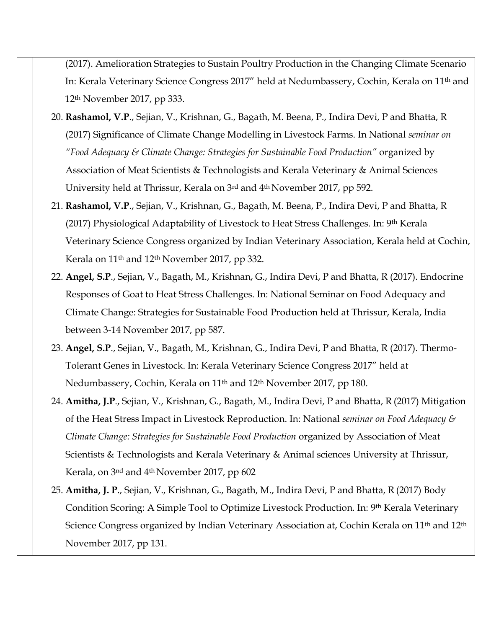(2017). Amelioration Strategies to Sustain Poultry Production in the Changing Climate Scenario In: Kerala Veterinary Science Congress 2017" held at Nedumbassery, Cochin, Kerala on 11th and 12th November 2017, pp 333.

- 20. **Rashamol, V.P**., Sejian, V., Krishnan, G., Bagath, M. Beena, P., Indira Devi, P and Bhatta, R (2017) Significance of Climate Change Modelling in Livestock Farms. In National *seminar on "Food Adequacy & Climate Change: Strategies for Sustainable Food Production"* organized by Association of Meat Scientists & Technologists and Kerala Veterinary & Animal Sciences University held at Thrissur, Kerala on 3rd and 4th November 2017, pp 592.
- 21. **Rashamol, V.P**., Sejian, V., Krishnan, G., Bagath, M. Beena, P., Indira Devi, P and Bhatta, R (2017) Physiological Adaptability of Livestock to Heat Stress Challenges. In: 9<sup>th</sup> Kerala Veterinary Science Congress organized by Indian Veterinary Association, Kerala held at Cochin, Kerala on 11th and 12th November 2017, pp 332.
- 22. **Angel, S.P**., Sejian, V., Bagath, M., Krishnan, G., Indira Devi, P and Bhatta, R (2017). Endocrine Responses of Goat to Heat Stress Challenges. In: National Seminar on Food Adequacy and Climate Change: Strategies for Sustainable Food Production held at Thrissur, Kerala, India between 3-14 November 2017, pp 587.
- 23. **Angel, S.P**., Sejian, V., Bagath, M., Krishnan, G., Indira Devi, P and Bhatta, R (2017). Thermo-Tolerant Genes in Livestock. In: Kerala Veterinary Science Congress 2017" held at Nedumbassery, Cochin, Kerala on 11th and 12th November 2017, pp 180.
- 24. **Amitha, J.P**., Sejian, V., Krishnan, G., Bagath, M., Indira Devi, P and Bhatta, R (2017) Mitigation of the Heat Stress Impact in Livestock Reproduction. In: National *seminar on Food Adequacy & Climate Change: Strategies for Sustainable Food Production* organized by Association of Meat Scientists & Technologists and Kerala Veterinary & Animal sciences University at Thrissur, Kerala, on 3nd and 4th November 2017, pp 602
- 25. **Amitha, J. P**., Sejian, V., Krishnan, G., Bagath, M., Indira Devi, P and Bhatta, R (2017) Body Condition Scoring: A Simple Tool to Optimize Livestock Production. In: 9<sup>th</sup> Kerala Veterinary Science Congress organized by Indian Veterinary Association at, Cochin Kerala on 11<sup>th</sup> and 12<sup>th</sup> November 2017, pp 131.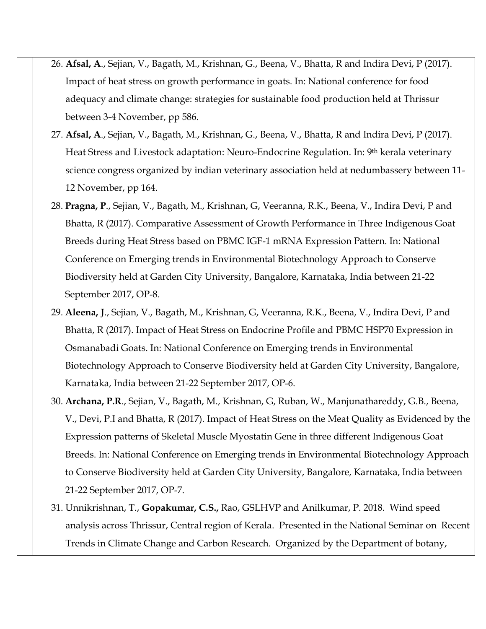- 26. **Afsal, A**., Sejian, V., Bagath, M., Krishnan, G., Beena, V., Bhatta, R and Indira Devi, P (2017). Impact of heat stress on growth performance in goats. In: National conference for food adequacy and climate change: strategies for sustainable food production held at Thrissur between 3-4 November, pp 586.
- 27. **Afsal, A**., Sejian, V., Bagath, M., Krishnan, G., Beena, V., Bhatta, R and Indira Devi, P (2017). Heat Stress and Livestock adaptation: Neuro-Endocrine Regulation. In: 9th kerala veterinary science congress organized by indian veterinary association held at nedumbassery between 11- 12 November, pp 164.
- 28. **Pragna, P**., Sejian, V., Bagath, M., Krishnan, G, Veeranna, R.K., Beena, V., Indira Devi, P and Bhatta, R (2017). Comparative Assessment of Growth Performance in Three Indigenous Goat Breeds during Heat Stress based on PBMC IGF-1 mRNA Expression Pattern. In: National Conference on Emerging trends in Environmental Biotechnology Approach to Conserve Biodiversity held at Garden City University, Bangalore, Karnataka, India between 21-22 September 2017, OP-8.
- 29. **Aleena, J**., Sejian, V., Bagath, M., Krishnan, G, Veeranna, R.K., Beena, V., Indira Devi, P and Bhatta, R (2017). Impact of Heat Stress on Endocrine Profile and PBMC HSP70 Expression in Osmanabadi Goats. In: National Conference on Emerging trends in Environmental Biotechnology Approach to Conserve Biodiversity held at Garden City University, Bangalore, Karnataka, India between 21-22 September 2017, OP-6.
- 30. **Archana, P.R**., Sejian, V., Bagath, M., Krishnan, G, Ruban, W., Manjunathareddy, G.B., Beena, V., Devi, P.I and Bhatta, R (2017). Impact of Heat Stress on the Meat Quality as Evidenced by the Expression patterns of Skeletal Muscle Myostatin Gene in three different Indigenous Goat Breeds. In: National Conference on Emerging trends in Environmental Biotechnology Approach to Conserve Biodiversity held at Garden City University, Bangalore, Karnataka, India between 21-22 September 2017, OP-7.
- 31. Unnikrishnan, T., **Gopakumar, C.S.,** Rao, GSLHVP and Anilkumar, P. 2018. Wind speed analysis across Thrissur, Central region of Kerala. Presented in the National Seminar on Recent Trends in Climate Change and Carbon Research. Organized by the Department of botany,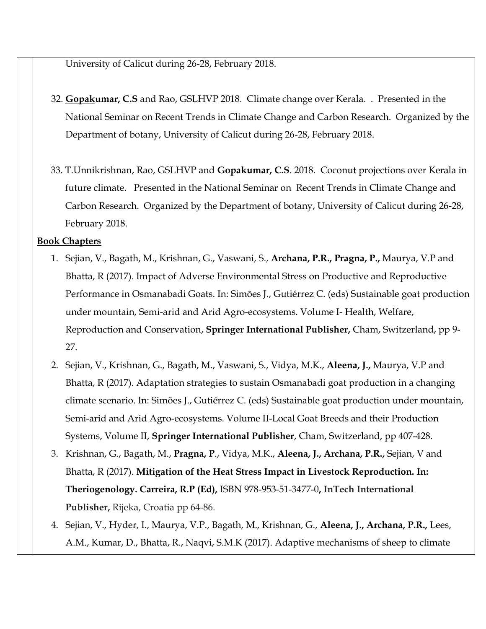University of Calicut during 26-28, February 2018.

- 32. **Gopakumar, C.S** and Rao, GSLHVP 2018. Climate change over Kerala. . Presented in the National Seminar on Recent Trends in Climate Change and Carbon Research. Organized by the Department of botany, University of Calicut during 26-28, February 2018.
- 33. T.Unnikrishnan, Rao, GSLHVP and **Gopakumar, C.S**. 2018. Coconut projections over Kerala in future climate. Presented in the National Seminar on Recent Trends in Climate Change and Carbon Research. Organized by the Department of botany, University of Calicut during 26-28, February 2018.

#### **Book Chapters**

- 1. Sejian, V., Bagath, M., Krishnan, G., Vaswani, S., **Archana, P.R., Pragna, P.,** Maurya, V.P and Bhatta, R (2017). Impact of Adverse Environmental Stress on Productive and Reproductive Performance in Osmanabadi Goats. In: Simões J., Gutiérrez C. (eds) Sustainable goat production under mountain, Semi-arid and Arid Agro-ecosystems. Volume I- Health, Welfare, Reproduction and Conservation, **Springer International Publisher,** Cham, Switzerland, pp 9- 27.
- 2. Sejian, V., Krishnan, G., Bagath, M., Vaswani, S., Vidya, M.K., **Aleena, J.,** Maurya, V.P and Bhatta, R (2017). Adaptation strategies to sustain Osmanabadi goat production in a changing climate scenario. In: Simões J., Gutiérrez C. (eds) Sustainable goat production under mountain, Semi-arid and Arid Agro-ecosystems. Volume II-Local Goat Breeds and their Production Systems, Volume II, **Springer International Publisher**, Cham, Switzerland, pp 407-428.
- 3. Krishnan, G., Bagath, M., **Pragna, P**., Vidya, M.K., **Aleena, J., Archana, P.R.,** Sejian, V and Bhatta, R (2017). **Mitigation of the Heat Stress Impact in Livestock Reproduction. In: Theriogenology. Carreira, R.P (Ed),** ISBN 978-953-51-3477-0**, InTech International Publisher,** Rijeka, Croatia pp 64-86.
- 4. Sejian, V., Hyder, I., Maurya, V.P., Bagath, M., Krishnan, G., **Aleena, J., Archana, P.R.,** Lees, A.M., Kumar, D., Bhatta, R., Naqvi, S.M.K (2017). Adaptive mechanisms of sheep to climate